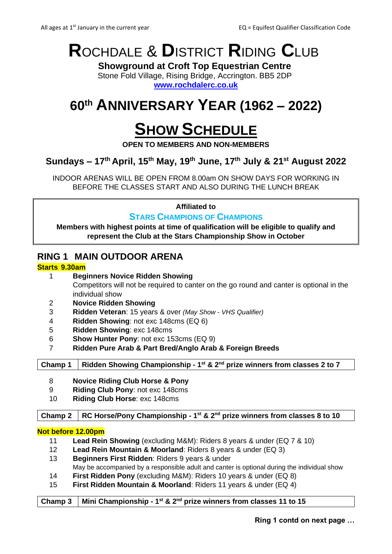# **R**OCHDALE & **D**ISTRICT **R**IDING **C**LUB

**Showground at Croft Top Equestrian Centre** Stone Fold Village, Rising Bridge, Accrington. BB5 2DP

**[www.rochdalerc.co.uk](http://www.rochdalerc.co.uk/)**

## **60th ANNIVERSARY YEAR (1962 – 2022)**

## **SHOW SCHEDULE**

**OPEN TO MEMBERS AND NON-MEMBERS**

## **Sundays – 17 th April, 15 th May, 19th June, 17 th July & 21st August 2022**

INDOOR ARENAS WILL BE OPEN FROM 8.00am ON SHOW DAYS FOR WORKING IN BEFORE THE CLASSES START AND ALSO DURING THE LUNCH BREAK

**Affiliated to** 

#### **STARS CHAMPIONS OF CHAMPIONS**

**Members with highest points at time of qualification will be eligible to qualify and represent the Club at the Stars Championship Show in October**

## **RING 1 MAIN OUTDOOR ARENA**

#### **Starts 9.30am**

- 1 **Beginners Novice Ridden Showing**  Competitors will not be required to canter on the go round and canter is optional in the individual show
- 2 **Novice Ridden Showing**
- 3 **Ridden Veteran**: 15 years & over *(May Show - VHS Qualifier)*
- 4 **Ridden Showing**: not exc 148cms (EQ 6)
- 5 **Ridden Showing**: exc 148cms
- 6 **Show Hunter Pony**: not exc 153cms (EQ 9)
- 7 **Ridden Pure Arab & Part Bred/Anglo Arab & Foreign Breeds**

**Champ 1 Ridden Showing Championship - 1 st & 2nd prize winners from classes 2 to 7**

- 8 **Novice Riding Club Horse & Pony**
- 9 **Riding Club Pony**: not exc 148cms
- 10 **Riding Club Horse**: exc 148cms

**Champ 2 RC Horse/Pony Championship - 1 st & 2nd prize winners from classes 8 to 10**

#### **Not before 12.00pm**

- 11 **Lead Rein Showing** (excluding M&M): Riders 8 years & under (EQ 7 & 10)
- 12 **Lead Rein Mountain & Moorland**: Riders 8 years & under (EQ 3) 13 **Beginners First Ridden**: Riders 9 years & under
- May be accompanied by a responsible adult and canter is optional during the individual show
- 14 **First Ridden Pony** (excluding M&M): Riders 10 years & under (EQ 8)
- 15 **First Ridden Mountain & Moorland**: Riders 11 years & under (EQ 4)

#### **Champ 3 Mini Championship - 1 st & 2nd prize winners from classes 11 to 15**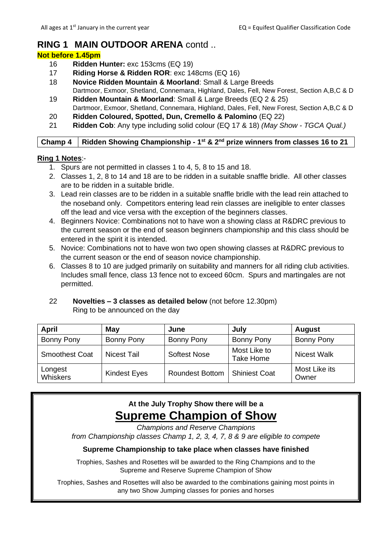## **RING 1 MAIN OUTDOOR ARENA** contd ..

#### **Not before 1.45pm**

- 16 **Ridden Hunter:** exc 153cms (EQ 19)
- 17 **Riding Horse & Ridden ROR**: exc 148cms (EQ 16)
- 18 **Novice Ridden Mountain & Moorland**: Small & Large Breeds
- Dartmoor, Exmoor, Shetland, Connemara, Highland, Dales, Fell, New Forest, Section A,B,C & D 19 **Ridden Mountain & Moorland**: Small & Large Breeds (EQ 2 & 25)
- Dartmoor, Exmoor, Shetland, Connemara, Highland, Dales, Fell, New Forest, Section A,B,C & D 20 **Ridden Coloured, Spotted, Dun, Cremello & Palomino** (EQ 22)
- 21 **Ridden Cob**: Any type including solid colour (EQ 17 & 18) *(May Show - TGCA Qual.)*

#### **Champ 4 Ridden Showing Championship - 1 st & 2nd prize winners from classes 16 to 21**

#### **Ring 1 Notes**:-

- 1. Spurs are not permitted in classes 1 to 4, 5, 8 to 15 and 18.
- 2. Classes 1, 2, 8 to 14 and 18 are to be ridden in a suitable snaffle bridle. All other classes are to be ridden in a suitable bridle.
- 3. Lead rein classes are to be ridden in a suitable snaffle bridle with the lead rein attached to the noseband only. Competitors entering lead rein classes are ineligible to enter classes off the lead and vice versa with the exception of the beginners classes.
- 4. Beginners Novice: Combinations not to have won a showing class at R&DRC previous to the current season or the end of season beginners championship and this class should be entered in the spirit it is intended.
- 5. Novice: Combinations not to have won two open showing classes at R&DRC previous to the current season or the end of season novice championship.
- 6. Classes 8 to 10 are judged primarily on suitability and manners for all riding club activities. Includes small fence, class 13 fence not to exceed 60cm. Spurs and martingales are not permitted.
- 22 **Novelties – 3 classes as detailed below** (not before 12.30pm) Ring to be announced on the day

| <b>April</b>          | May                 | June                   | July                      | <b>August</b>          |
|-----------------------|---------------------|------------------------|---------------------------|------------------------|
| Bonny Pony            | Bonny Pony          | Bonny Pony             | Bonny Pony                | <b>Bonny Pony</b>      |
| <b>Smoothest Coat</b> | <b>Nicest Tail</b>  | Softest Nose           | Most Like to<br>Take Home | <b>Nicest Walk</b>     |
| Longest<br>Whiskers   | <b>Kindest Eyes</b> | <b>Roundest Bottom</b> | <b>Shiniest Coat</b>      | Most Like its<br>Owner |

## **At the July Trophy Show there will be a Supreme Champion of Show**

*Champions and Reserve Champions*

*from Championship classes Champ 1, 2, 3, 4, 7, 8 & 9 are eligible to compete*

#### **Supreme Championship to take place when classes have finished**

Trophies, Sashes and Rosettes will be awarded to the Ring Champions and to the Supreme and Reserve Supreme Champion of Show

Trophies, Sashes and Rosettes will also be awarded to the combinations gaining most points in any two Show Jumping classes for ponies and horses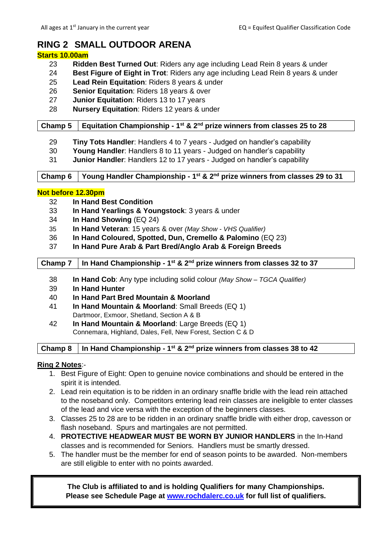## **RING 2 SMALL OUTDOOR ARENA**

#### **Starts 10.00am**

- 23 **Ridden Best Turned Out**: Riders any age including Lead Rein 8 years & under
- 24 **Best Figure of Eight in Trot**: Riders any age including Lead Rein 8 years & under
- 25 **Lead Rein Equitation**: Riders 8 years & under
- 26 **Senior Equitation**: Riders 18 years & over
- 27 **Junior Equitation**: Riders 13 to 17 years
- 28 **Nursery Equitation**: Riders 12 years & under

#### **Champ 5 Equitation Championship - 1 st & 2nd prize winners from classes 25 to 28**

- 29 **Tiny Tots Handler**: Handlers 4 to 7 years Judged on handler's capability
- 30 **Young Handler**: Handlers 8 to 11 years Judged on handler's capability
- 31 **Junior Handler**: Handlers 12 to 17 years Judged on handler's capability

**Champ 6 Young Handler Championship - 1 st & 2nd prize winners from classes 29 to 31**

#### **Not before 12.30pm**

- 32 **In Hand Best Condition**
- 33 **In Hand Yearlings & Youngstock**: 3 years & under
- 34 **In Hand Showing** (EQ 24)
- 35 **In Hand Veteran**: 15 years & over *(May Show - VHS Qualifier)*
- 36 **In Hand Coloured, Spotted, Dun, Cremello & Palomino** (EQ 23)
- 37 **In Hand Pure Arab & Part Bred/Anglo Arab & Foreign Breeds**

#### **Champ 7 In Hand Championship - 1 st & 2nd prize winners from classes 32 to 37**

- 38 **In Hand Cob**: Any type including solid colour *(May Show – TGCA Qualifier)*
- 39 **In Hand Hunter**
- 40 **In Hand Part Bred Mountain & Moorland**
- 41 **In Hand Mountain & Moorland**: Small Breeds (EQ 1) Dartmoor, Exmoor, Shetland, Section A & B
- 42 **In Hand Mountain & Moorland**: Large Breeds (EQ 1) Connemara, Highland, Dales, Fell, New Forest, Section C & D

#### **Champ 8 In Hand Championship - 1 st & 2nd prize winners from classes 38 to 42**

#### **Ring 2 Notes**:-

- 1. Best Figure of Eight: Open to genuine novice combinations and should be entered in the spirit it is intended.
- 2. Lead rein equitation is to be ridden in an ordinary snaffle bridle with the lead rein attached to the noseband only. Competitors entering lead rein classes are ineligible to enter classes of the lead and vice versa with the exception of the beginners classes.
- 3. Classes 25 to 28 are to be ridden in an ordinary snaffle bridle with either drop, cavesson or flash noseband. Spurs and martingales are not permitted.
- 4. **PROTECTIVE HEADWEAR MUST BE WORN BY JUNIOR HANDLERS** in the In-Hand classes and is recommended for Seniors. Handlers must be smartly dressed.
- 5. The handler must be the member for end of season points to be awarded. Non-members are still eligible to enter with no points awarded.

**The Club is affiliated to and is holding Qualifiers for many Championships. Please see Schedule Page at [www.rochdalerc.co.uk](http://www.rochdalerc.co.uk/) for full list of qualifiers.**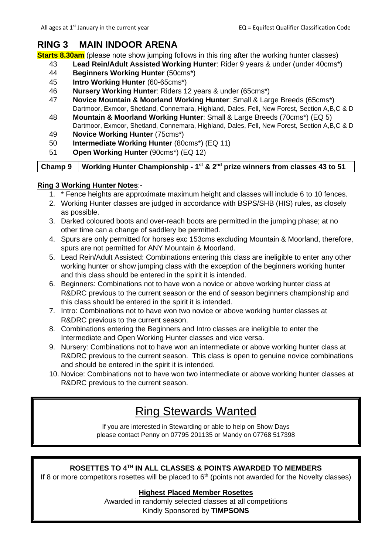### **RING 3 MAIN INDOOR ARENA**

**Starts 8.30am** (please note show jumping follows in this ring after the working hunter classes)

- 43 **Lead Rein/Adult Assisted Working Hunter**: Rider 9 years & under (under 40cms\*)
- 44 **Beginners Working Hunter** (50cms\*)
- 45 **Intro Working Hunter** (60-65cms\*)
- 46 **Nursery Working Hunter**: Riders 12 years & under (65cms\*)
- 47 **Novice Mountain & Moorland Working Hunter**: Small & Large Breeds (65cms\*) Dartmoor, Exmoor, Shetland, Connemara, Highland, Dales, Fell, New Forest, Section A,B,C & D
- 48 **Mountain & Moorland Working Hunter**: Small & Large Breeds (70cms\*) (EQ 5) Dartmoor, Exmoor, Shetland, Connemara, Highland, Dales, Fell, New Forest, Section A,B,C & D
- 49 **Novice Working Hunter** (75cms\*)
- 50 **Intermediate Working Hunter** (80cms\*) (EQ 11)
- 51 **Open Working Hunter** (90cms\*) (EQ 12)

**Champ 9 Working Hunter Championship - 1 st & 2nd prize winners from classes 43 to 51**

#### **Ring 3 Working Hunter Notes**:-

- 1. \* Fence heights are approximate maximum height and classes will include 6 to 10 fences.
- 2. Working Hunter classes are judged in accordance with BSPS/SHB (HIS) rules, as closely as possible.
- 3. Darked coloured boots and over-reach boots are permitted in the jumping phase; at no other time can a change of saddlery be permitted.
- 4. Spurs are only permitted for horses exc 153cms excluding Mountain & Moorland, therefore, spurs are not permitted for ANY Mountain & Moorland.
- 5. Lead Rein/Adult Assisted: Combinations entering this class are ineligible to enter any other working hunter or show jumping class with the exception of the beginners working hunter and this class should be entered in the spirit it is intended.
- 6. Beginners: Combinations not to have won a novice or above working hunter class at R&DRC previous to the current season or the end of season beginners championship and this class should be entered in the spirit it is intended.
- 7. Intro: Combinations not to have won two novice or above working hunter classes at R&DRC previous to the current season.
- 8. Combinations entering the Beginners and Intro classes are ineligible to enter the Intermediate and Open Working Hunter classes and vice versa.
- 9. Nursery: Combinations not to have won an intermediate or above working hunter class at R&DRC previous to the current season. This class is open to genuine novice combinations and should be entered in the spirit it is intended.
- 10. Novice: Combinations not to have won two intermediate or above working hunter classes at R&DRC previous to the current season.

## Ring Stewards Wanted

If you are interested in Stewarding or able to help on Show Days please contact Penny on 07795 201135 or Mandy on 07768 517398

#### **ROSETTES TO 4TH IN ALL CLASSES & POINTS AWARDED TO MEMBERS**

If 8 or more competitors rosettes will be placed to  $6<sup>th</sup>$  (points not awarded for the Novelty classes)

#### **Highest Placed Member Rosettes**

Awarded in randomly selected classes at all competitions Kindly Sponsored by **TIMPSONS**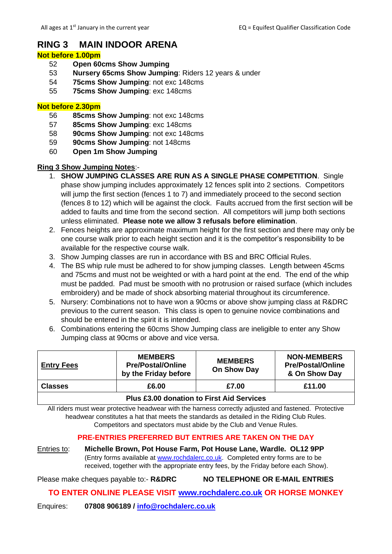## **RING 3 MAIN INDOOR ARENA**

#### **Not before 1.00pm**

- 52 **Open 60cms Show Jumping**
- 53 **Nursery 65cms Show Jumping**: Riders 12 years & under
- 54 **75cms Show Jumping**: not exc 148cms
- 55 **75cms Show Jumping**: exc 148cms

#### **Not before 2.30pm**

- 56 **85cms Show Jumping**: not exc 148cms
- 57 **85cms Show Jumping**: exc 148cms
- 58 **90cms Show Jumping**: not exc 148cms
- 59 **90cms Show Jumping**: not 148cms
- 60 **Open 1m Show Jumping**

#### **Ring 3 Show Jumping Notes**:-

- 1. **SHOW JUMPING CLASSES ARE RUN AS A SINGLE PHASE COMPETITION**. Single phase show jumping includes approximately 12 fences split into 2 sections. Competitors will jump the first section (fences 1 to 7) and immediately proceed to the second section (fences 8 to 12) which will be against the clock. Faults accrued from the first section will be added to faults and time from the second section. All competitors will jump both sections unless eliminated. **Please note we allow 3 refusals before elimination**.
- 2. Fences heights are approximate maximum height for the first section and there may only be one course walk prior to each height section and it is the competitor's responsibility to be available for the respective course walk.
- 3. Show Jumping classes are run in accordance with BS and BRC Official Rules.
- 4. The BS whip rule must be adhered to for show jumping classes. Length between 45cms and 75cms and must not be weighted or with a hard point at the end. The end of the whip must be padded. Pad must be smooth with no protrusion or raised surface (which includes embroidery) and be made of shock absorbing material throughout its circumference.
- 5. Nursery: Combinations not to have won a 90cms or above show jumping class at R&DRC previous to the current season. This class is open to genuine novice combinations and should be entered in the spirit it is intended.
- 6. Combinations entering the 60cms Show Jumping class are ineligible to enter any Show Jumping class at 90cms or above and vice versa.

| <b>Entry Fees</b>                                | <b>MEMBERS</b><br><b>Pre/Postal/Online</b><br>by the Friday before | <b>MEMBERS</b><br>On Show Day | <b>NON-MEMBERS</b><br><b>Pre/Postal/Online</b><br>& On Show Day |  |  |
|--------------------------------------------------|--------------------------------------------------------------------|-------------------------------|-----------------------------------------------------------------|--|--|
| <b>Classes</b>                                   | £6.00                                                              | £7.00                         | £11.00                                                          |  |  |
| <b>Plus £3.00 donation to First Aid Services</b> |                                                                    |                               |                                                                 |  |  |

All riders must wear protective headwear with the harness correctly adjusted and fastened. Protective headwear constitutes a hat that meets the standards as detailed in the Riding Club Rules. Competitors and spectators must abide by the Club and Venue Rules.

#### **PRE-ENTRIES PREFERRED BUT ENTRIES ARE TAKEN ON THE DAY**

Entries to: **Michelle Brown, Pot House Farm, Pot House Lane, Wardle. OL12 9PP**  (Entry forms available at [www.rochdalerc.co.uk.](http://www.rochdalerc.co.uk/) Completed entry forms are to be received, together with the appropriate entry fees, by the Friday before each Show).

Please make cheques payable to:- **R&DRC NO TELEPHONE OR E-MAIL ENTRIES**

#### **TO ENTER ONLINE PLEASE VISIT [www.rochdalerc.co.uk](http://www.rochdalerc.co.uk/) OR HORSE MONKEY**

Enquires: **07808 906189 / [info@rochdalerc.co.uk](mailto:info@rochdalerc.co.uk)**